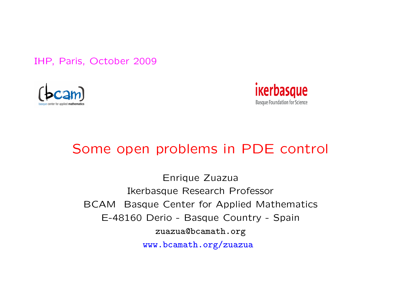#### IHP, Paris, October 2009





# Some open problems in PDE control

Enrique Zuazua Ikerbasque Research Professor BCAM Basque Center for Applied Mathematics E-48160 Derio - Basque Country - Spain zuazua@bcamath.org www.bcamath.org/zuazua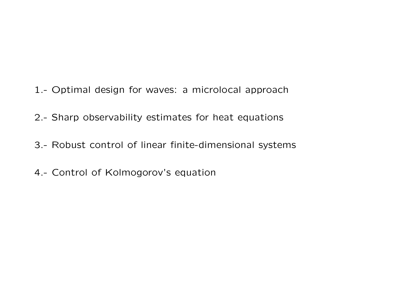- 1.- Optimal design for waves: a microlocal approach
- 2.- Sharp observability estimates for heat equations
- 3.- Robust control of linear finite-dimensional systems
- 4.- Control of Kolmogorov's equation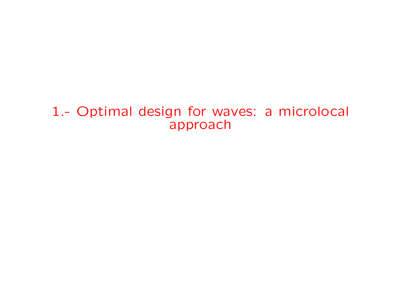# 1.- Optimal design for waves: a microlocal approach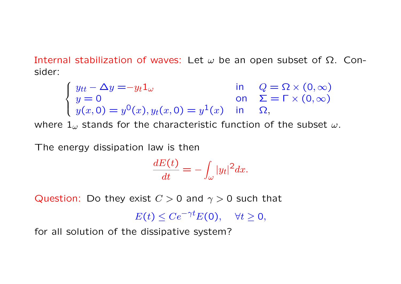Internal stabilization of waves: Let  $ω$  be an open subset of  $Ω$ . Consider:

$$
\begin{cases}\ny_{tt} - \Delta y = -y_t 1_{\omega} & \text{in } Q = \Omega \times (0, \infty) \\
y = 0 & \text{on } \Sigma = \Gamma \times (0, \infty) \\
y(x, 0) = y^0(x), y_t(x, 0) = y^1(x) & \text{in } \Omega,\n\end{cases}
$$

where  $1_{\omega}$  stands for the characteristic function of the subset  $\omega$ .

The energy dissipation law is then

$$
\frac{dE(t)}{dt} = -\int_{\omega} |y_t|^2 dx.
$$

Question: Do they exist  $C > 0$  and  $\gamma > 0$  such that

 $E(t) \leq Ce^{-\gamma t} E(0), \quad \forall t \geq 0,$ 

for all solution of the dissipative system?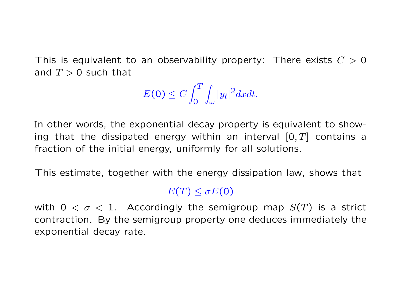This is equivalent to an observability property: There exists  $C > 0$ and  $T > 0$  such that

$$
E(0) \le C \int_0^T \int_{\omega} |y_t|^2 dx dt.
$$

In other words, the exponential decay property is equivalent to showing that the dissipated energy within an interval  $[0, T]$  contains a fraction of the initial energy, uniformly for all solutions.

This estimate, together with the energy dissipation law, shows that

### $E(T) \leq \sigma E(0)$

with  $0 < \sigma < 1$ . Accordingly the semigroup map  $S(T)$  is a strict contraction. By the semigroup property one deduces immediately the exponential decay rate.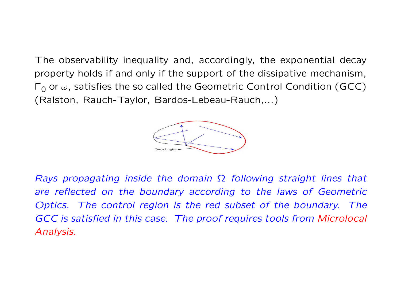The observability inequality and, accordingly, the exponential decay property holds if and only if the support of the dissipative mechanism,  $\Gamma_0$  or  $\omega$ , satisfies the so called the Geometric Control Condition (GCC) (Ralston, Rauch-Taylor, Bardos-Lebeau-Rauch,...)



Rays propagating inside the domain  $\Omega$  following straight lines that are reflected on the boundary according to the laws of Geometric Optics. The control region is the red subset of the boundary. The GCC is satisfied in this case. The proof requires tools from Microlocal Analysis.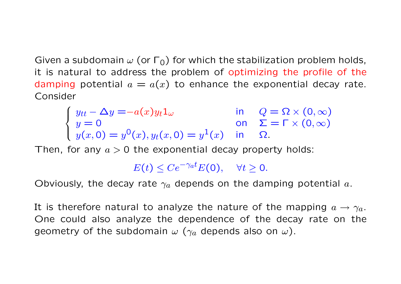Given a subdomain  $\omega$  (or  $\Gamma_0$ ) for which the stabilization problem holds, it is natural to address the problem of optimizing the profile of the damping potential  $a = a(x)$  to enhance the exponential decay rate. Consider

$$
\begin{cases}\ny_{tt} - \Delta y = -a(x)y_t 1_{\omega} & \text{in } Q = \Omega \times (0, \infty) \\
y = 0 & \text{on } \Sigma = \Gamma \times (0, \infty) \\
y(x, 0) = y^0(x), y_t(x, 0) = y^1(x) & \text{in } \Omega.\n\end{cases}
$$

Then, for any  $a > 0$  the exponential decay property holds:

 $E(t) \leq Ce^{-\gamma_a t} E(0), \quad \forall t \geq 0.$ 

Obviously, the decay rate  $\gamma_a$  depends on the damping potential a.

It is therefore natural to analyze the nature of the mapping  $a \to \gamma_a$ . One could also analyze the dependence of the decay rate on the geometry of the subdomain  $\omega$  ( $\gamma_a$  depends also on  $\omega$ ).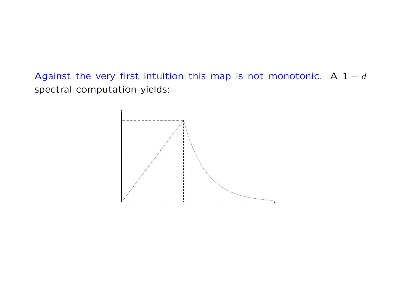Against the very first intuition this map is not monotonic. A  $1 - d$ spectral computation yields:

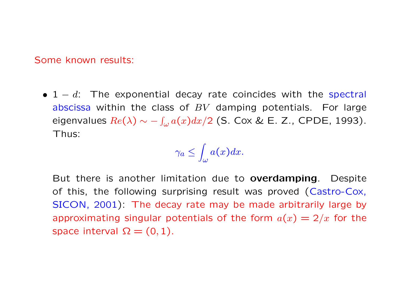Some known results:

•  $1 - d$ : The exponential decay rate coincides with the spectral abscissa within the class of  $BV$  damping potentials. For large eigenvalues  $Re(\lambda) \sim -\int_{\omega} a(x)dx/2$  (S. Cox & E. Z., CPDE, 1993). Thus:

$$
\gamma_a\leq \int_\omega a(x)dx.
$$

But there is another limitation due to **overdamping**. Despite of this, the following surprising result was proved (Castro-Cox, SICON, 2001): The decay rate may be made arbitrarily large by approximating singular potentials of the form  $a(x) = 2/x$  for the space interval  $\Omega = (0,1)$ .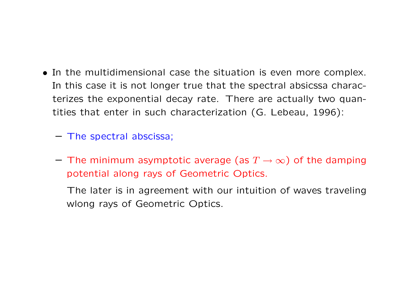- In the multidimensional case the situation is even more complex. In this case it is not longer true that the spectral absicssa characterizes the exponential decay rate. There are actually two quantities that enter in such characterization (G. Lebeau, 1996):
	- The spectral abscissa;
	- The minimum asymptotic average (as  $T \to \infty$ ) of the damping potential along rays of Geometric Optics.

The later is in agreement with our intuition of waves traveling wlong rays of Geometric Optics.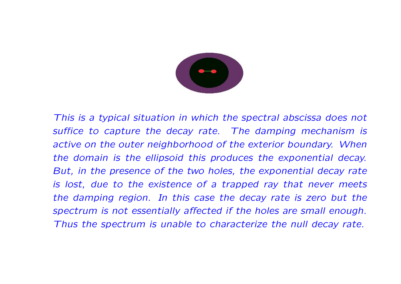

This is a typical situation in which the spectral abscissa does not suffice to capture the decay rate. The damping mechanism is active on the outer neighborhood of the exterior boundary. When the domain is the ellipsoid this produces the exponential decay. But, in the presence of the two holes, the exponential decay rate is lost, due to the existence of a trapped ray that never meets the damping region. In this case the decay rate is zero but the spectrum is not essentially affected if the holes are small enough. Thus the spectrum is unable to characterize the null decay rate.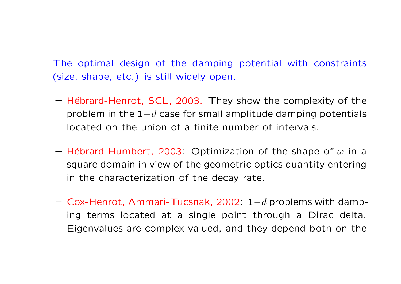The optimal design of the damping potential with constraints (size, shape, etc.) is still widely open.

- $-$  Hébrard-Henrot, SCL, 2003. They show the complexity of the problem in the  $1-d$  case for small amplitude damping potentials located on the union of a finite number of intervals.
- Hébrard-Humbert, 2003: Optimization of the shape of  $\omega$  in a square domain in view of the geometric optics quantity entering in the characterization of the decay rate.
- $–$  Cox-Henrot, Ammari-Tucsnak, 2002: 1 $-d$  problems with damping terms located at a single point through a Dirac delta. Eigenvalues are complex valued, and they depend both on the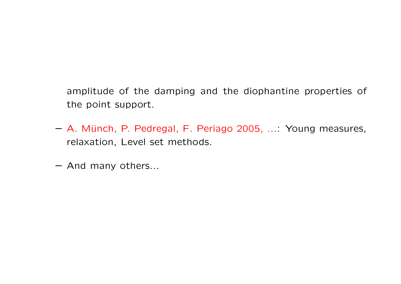amplitude of the damping and the diophantine properties of the point support.

- A. M¨unch, P. Pedregal, F. Periago 2005, ...: Young measures, relaxation, Level set methods.
- And many others...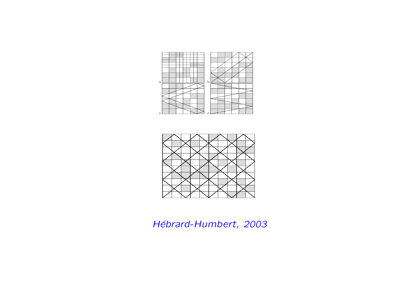



Hébrard-Humbert, 2003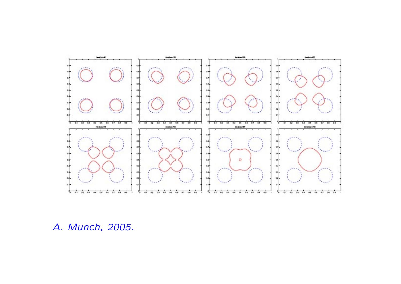

A. Munch, 2005.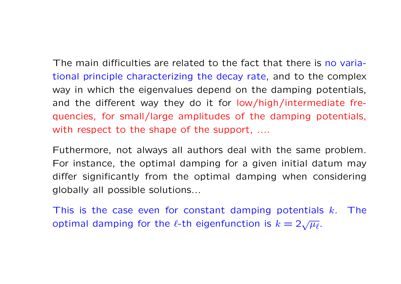The main difficulties are related to the fact that there is no variational principle characterizing the decay rate, and to the complex way in which the eigenvalues depend on the damping potentials, and the different way they do it for low/high/intermediate frequencies, for small/large amplitudes of the damping potentials, with respect to the shape of the support, ....

Futhermore, not always all authors deal with the same problem. For instance, the optimal damping for a given initial datum may differ significantly from the optimal damping when considering globally all possible solutions...

This is the case even for constant damping potentials  $k$ . The optimal damping for the  $\ell$ -th eigenfunction is  $k = 2\sqrt{\mu_\ell}$ .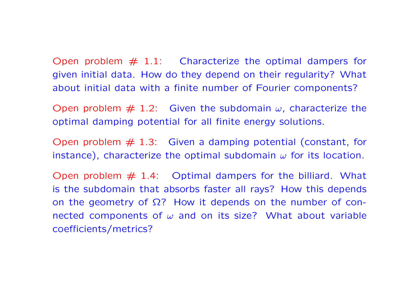Open problem  $# 1.1:$  Characterize the optimal dampers for given initial data. How do they depend on their regularity? What about initial data with a finite number of Fourier components?

Open problem  $# 1.2$ : Given the subdomain  $\omega$ , characterize the optimal damping potential for all finite energy solutions.

Open problem  $#$  1.3: Given a damping potential (constant, for instance), characterize the optimal subdomain  $\omega$  for its location.

Open problem  $# 1.4$ : Optimal dampers for the billiard. What is the subdomain that absorbs faster all rays? How this depends on the geometry of  $\Omega$ ? How it depends on the number of connected components of  $\omega$  and on its size? What about variable coefficients/metrics?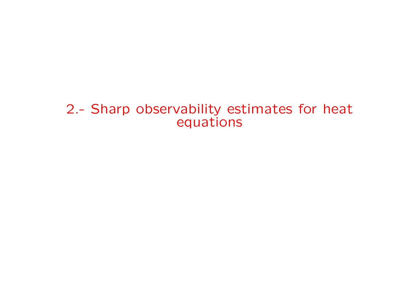## 2.- Sharp observability estimates for heat equations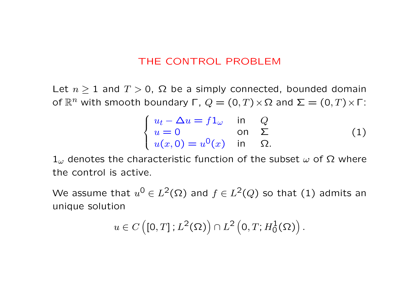#### THE CONTROL PROBLEM

Let  $n \geq 1$  and  $T > 0$ ,  $\Omega$  be a simply connected, bounded domain of  $\mathbb{R}^n$  with smooth boundary  $\Gamma$ ,  $Q = (0, T) \times \Omega$  and  $\Sigma = (0, T) \times \Gamma$ :

$$
\begin{cases}\n u_t - \Delta u = f 1_\omega & \text{in} \quad Q \\
 u = 0 & \text{on} \quad \Sigma \\
 u(x, 0) = u^0(x) & \text{in} \quad \Omega.\n\end{cases}
$$
\n(1)

 $1<sub>ω</sub>$  denotes the characteristic function of the subset  $ω$  of  $Ω$  where the control is active.

We assume that  $u^0\in L^2(\Omega)$  and  $f\in L^2(Q)$  so that  $(1)$  admits an unique solution

$$
u \in C\left([0, T]; L^2(\Omega)\right) \cap L^2\left(0, T; H_0^1(\Omega)\right).
$$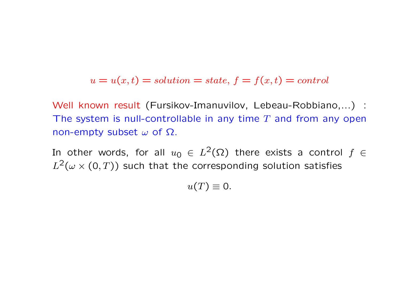$u = u(x, t) = solution = state, f = f(x, t) = control$ 

Well known result (Fursikov-Imanuvilov, Lebeau-Robbiano,...) : The system is null-controllable in any time  $T$  and from any open non-empty subset  $ω$  of  $Ω$ .

In other words, for all  $u_0 \in L^2(\Omega)$  there exists a control  $f \in$  $L^2(\omega \times (0,T))$  such that the corresponding solution satisfies

 $u(T) \equiv 0.$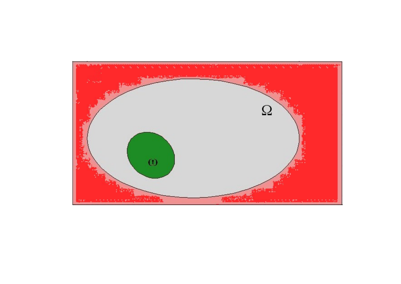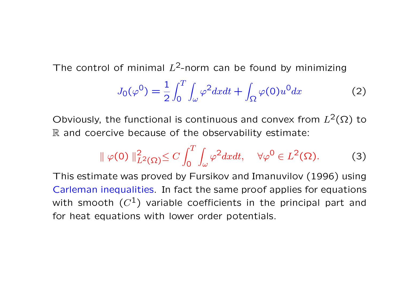The control of minimal  $L^2$ -norm can be found by minimizing

$$
J_0(\varphi^0) = \frac{1}{2} \int_0^T \int_{\omega} \varphi^2 dx dt + \int_{\Omega} \varphi(0) u^0 dx \tag{2}
$$

Obviously, the functional is continuous and convex from  $L^2(\Omega)$  to R and coercive because of the observability estimate:

$$
\|\varphi(0)\|_{L^2(\Omega)}^2 \le C \int_0^T \int_{\omega} \varphi^2 dx dt, \quad \forall \varphi^0 \in L^2(\Omega). \tag{3}
$$

This estimate was proved by Fursikov and Imanuvilov (1996) using Carleman inequalities. In fact the same proof applies for equations with smooth  $(C^1)$  variable coefficients in the principal part and for heat equations with lower order potentials.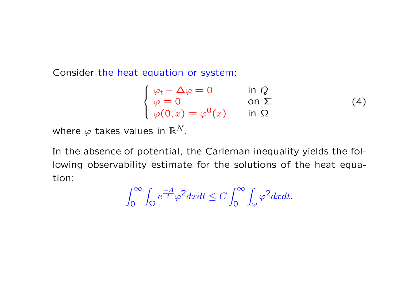Consider the heat equation or system:

$$
\begin{cases}\n\varphi_t - \Delta \varphi = 0 & \text{in } Q \\
\varphi = 0 & \text{on } \Sigma \\
\varphi(0, x) = \varphi^0(x) & \text{in } \Omega\n\end{cases}
$$
\n(4)

where  $\varphi$  takes values in  $\mathbb{R}^N$ .

In the absence of potential, the Carleman inequality yields the following observability estimate for the solutions of the heat equation:

$$
\int_0^\infty \int_{\Omega} e^{-A \over t} \varphi^2 dx dt \leq C \int_0^\infty \int_{\omega} \varphi^2 dx dt.
$$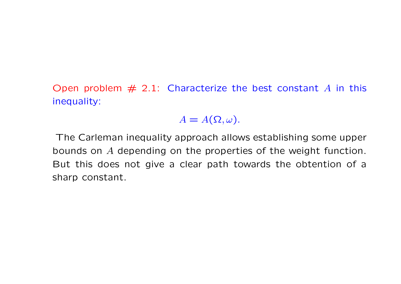Open problem  $#$  2.1: Characterize the best constant A in this inequality:

### $A = A(\Omega, \omega).$

The Carleman inequality approach allows establishing some upper bounds on A depending on the properties of the weight function. But this does not give a clear path towards the obtention of a sharp constant.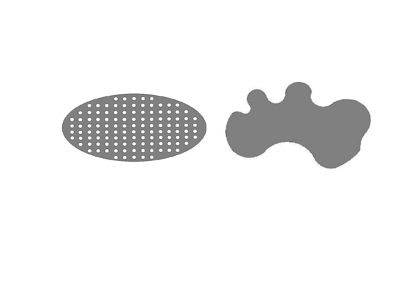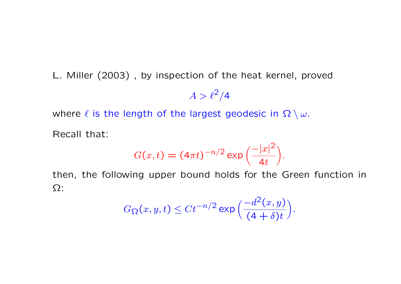L. Miller (2003) , by inspection of the heat kernel, proved

$$
A > \ell^2/4
$$

where  $\ell$  is the length of the largest geodesic in  $\Omega \setminus \omega$ .

Recall that:

$$
G(x,t) = (4\pi t)^{-n/2} \exp\left(\frac{-|x|^2}{4t}\right).
$$

then, the following upper bound holds for the Green function in Ω:

$$
G_{\Omega}(x, y, t) \le Ct^{-n/2} \exp\left(\frac{-d^2(x, y)}{(4+\delta)t}\right).
$$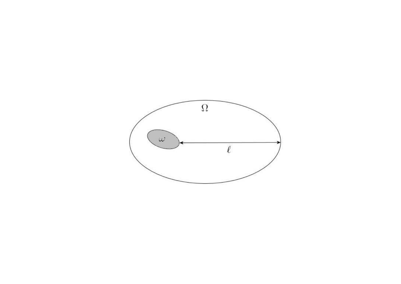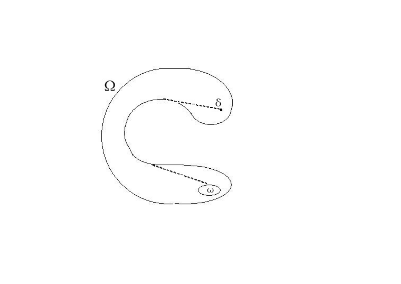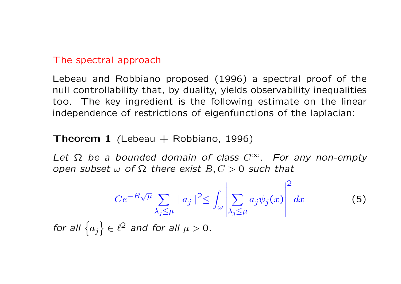#### The spectral approach

Lebeau and Robbiano proposed (1996) a spectral proof of the null controllability that, by duality, yields observability inequalities too. The key ingredient is the following estimate on the linear independence of restrictions of eigenfunctions of the laplacian:

#### **Theorem 1** (Lebeau  $+$  Robbiano, 1996)

Let  $\Omega$  be a bounded domain of class  $C^{\infty}$ . For any non-empty open subset  $\omega$  of  $\Omega$  there exist  $B, C > 0$  such that

$$
Ce^{-B\sqrt{\mu}} \sum_{\lambda_j \le \mu} |a_j|^2 \le \int_{\omega} \left| \sum_{\lambda_j \le \mu} a_j \psi_j(x) \right|^2 dx
$$
 (5)  
for all  $\{a_j\} \in \ell^2$  and for all  $\mu > 0$ .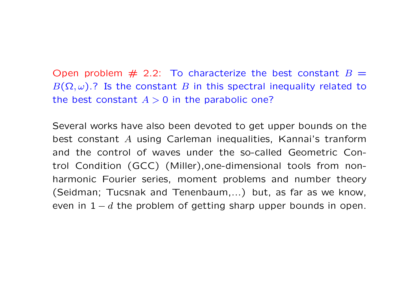Open problem  $\#$  2.2: To characterize the best constant  $B =$  $B(\Omega,\omega)$ .? Is the constant B in this spectral inequality related to the best constant  $A > 0$  in the parabolic one?

Several works have also been devoted to get upper bounds on the best constant A using Carleman inequalities, Kannai's tranform and the control of waves under the so-called Geometric Control Condition (GCC) (Miller),one-dimensional tools from nonharmonic Fourier series, moment problems and number theory (Seidman; Tucsnak and Tenenbaum,...) but, as far as we know, even in  $1-d$  the problem of getting sharp upper bounds in open.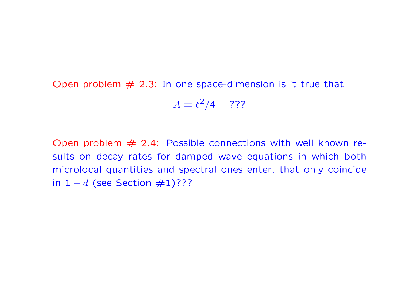Open problem  $# 2.3$ : In one space-dimension is it true that

$$
A = \ell^2/4 \qquad \text{??}
$$

Open problem  $#$  2.4: Possible connections with well known results on decay rates for damped wave equations in which both microlocal quantities and spectral ones enter, that only coincide in  $1-d$  (see Section  $\#1$ )???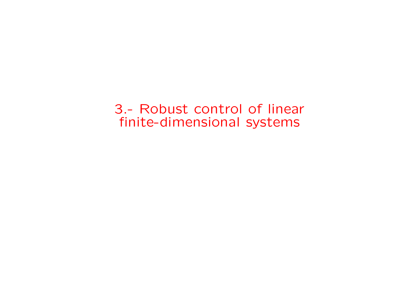3.- Robust control of linear finite-dimensional systems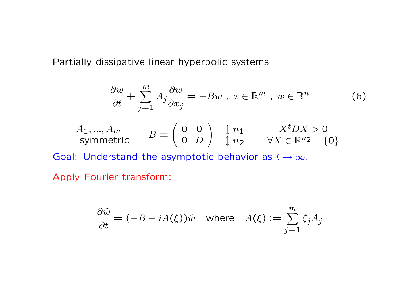Partially dissipative linear hyperbolic systems

$$
\frac{\partial w}{\partial t} + \sum_{j=1}^{m} A_j \frac{\partial w}{\partial x_j} = -Bw \text{ , } x \in \mathbb{R}^m \text{ , } w \in \mathbb{R}^n \tag{6}
$$

$$
\begin{array}{c}\nA_1, \ldots, A_m \\
\text{symmetric}\n\end{array}\n\begin{array}{c}\nB = \begin{pmatrix}\n0 & 0 \\
0 & D\n\end{pmatrix}\n\begin{array}{c}\n\downarrow n_1 \\
\downarrow n_2\n\end{array}\n\quad\n\begin{array}{c}\nX^tDX > 0 \\
\forall X \in \mathbb{R}^{n_2} - \{0\}\n\end{array}
$$

Goal: Understand the asymptotic behavior as  $t \to \infty$ .

Apply Fourier transform:

$$
\frac{\partial \hat{w}}{\partial t} = (-B - iA(\xi))\hat{w} \quad \text{where} \quad A(\xi) := \sum_{j=1}^{m} \xi_j A_j
$$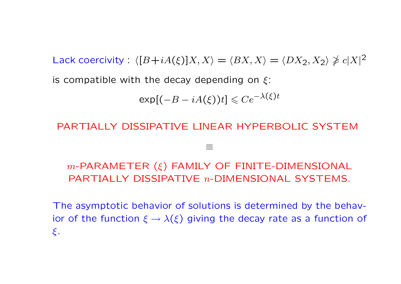Lack coercivity :  $\langle [B+iA(\xi)]X, X \rangle = \langle BX, X \rangle = \langle DX_2, X_2 \rangle \ngeq c|X|^2$ 

is compatible with the decay depending on  $\xi$ :

 $\exp[(-B - iA(\xi))t] \le Ce^{-\lambda(\xi)t}$ 

PARTIALLY DISSIPATIVE LINEAR HYPERBOLIC SYSTEM

≡

 $m$ -PARAMETER  $(\xi)$  FAMILY OF FINITE-DIMENSIONAL PARTIALLY DISSIPATIVE n-DIMENSIONAL SYSTEMS.

The asymptotic behavior of solutions is determined by the behavior of the function  $\xi \to \lambda(\xi)$  giving the decay rate as a function of ξ.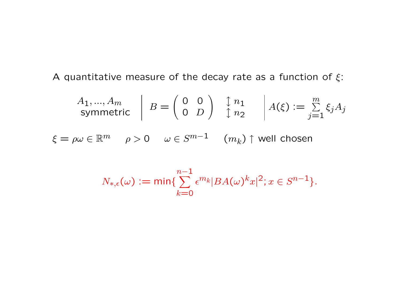A quantitative measure of the decay rate as a function of  $\xi$ :

$$
A_1, ..., A_m
$$
  
symmetric  

$$
\begin{array}{ccc} B = \begin{pmatrix} 0 & 0 \\ 0 & D \end{pmatrix} & \begin{array}{c} n_1 \\ \uparrow n_2 \end{array} & A(\xi) := \sum_{j=1}^m \xi_j A_j
$$
  

$$
\xi = \rho \omega \in \mathbb{R}^m \quad \rho > 0 \quad \omega \in S^{m-1} \quad (m_k) \uparrow \text{well chosen}
$$

$$
N_{*,\epsilon}(\omega) := \min \{ \sum_{k=0}^{n-1} \epsilon^{m_k} |BA(\omega)^k x|^2; x \in S^{n-1} \}.
$$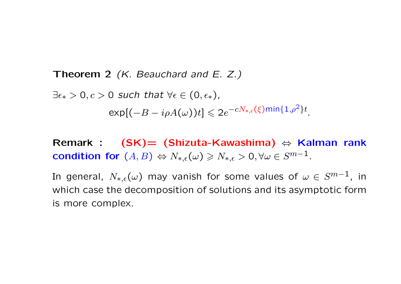**Theorem 2** (*K. Beauchard and E. Z.*)  $\exists \epsilon_*>0, c>0$  such that  $\forall \epsilon \in (0, \epsilon_*)$ ,  $\mathsf{exp}[(-B - i\rho A(\omega))t] \leqslant 2e^{-cN_{*,\epsilon}(\xi)\mathsf{min}\{1,\rho^2\}t}.$ 

Remark :  $(SK) = (Shizuta-Kawashima) \Leftrightarrow Kalman rank$ condition for  $(A, B) \Leftrightarrow N_{*,\epsilon}(\omega) \geq N_{*,\epsilon} > 0, \forall \omega \in S^{m-1}$ .

In general,  $N_{*,\epsilon}(\omega)$  may vanish for some values of  $\omega \in S^{m-1}$ , in which case the decomposition of solutions and its asymptotic form is more complex.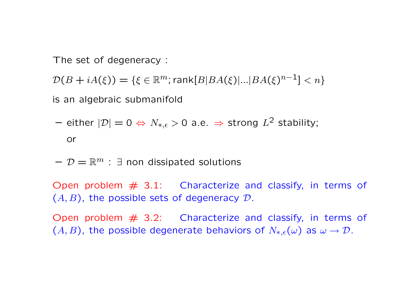The set of degeneracy :

 $\mathcal{D}(B+iA(\xi))=\{\xi\in\mathbb{R}^m;\text{rank}[B|BA(\xi)|...|BA(\xi)^{n-1}] < n\}$ 

is an algebraic submanifold

- either 
$$
|D|
$$
 = 0  $\Leftrightarrow$  N<sub>\*, $\epsilon$</sub>  > 0 a.e. ⇒ strong  $L^2$  stability;  
or

$$
- \mathcal{D} = \mathbb{R}^m : \exists \text{ non dissipated solutions}
$$

Open problem  $# 3.1$ : Characterize and classify, in terms of  $(A, B)$ , the possible sets of degeneracy  $D$ .

Open problem  $# 3.2$ : Characterize and classify, in terms of  $(A, B)$ , the possible degenerate behaviors of  $N_{*,\epsilon}(\omega)$  as  $\omega \to \mathcal{D}$ .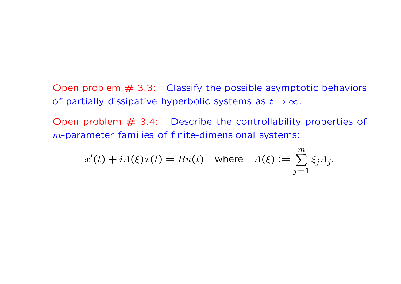Open problem  $# 3.3$ : Classify the possible asymptotic behaviors of partially dissipative hyperbolic systems as  $t \to \infty$ .

Open problem  $# 3.4$ : Describe the controllability properties of  $m$ -parameter families of finite-dimensional systems:

$$
x'(t) + iA(\xi)x(t) = Bu(t) \quad \text{where} \quad A(\xi) := \sum_{j=1}^{m} \xi_j A_j.
$$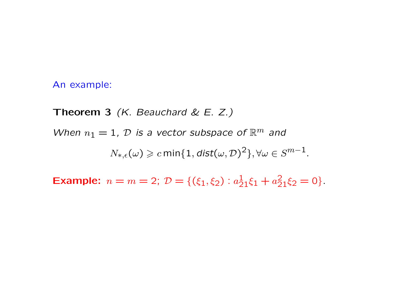An example:

**Theorem 3** (K. Beauchard & E. Z.) When  $n_1 = 1$ ,  $D$  is a vector subspace of  $\mathbb{R}^m$  and  $N_{*,\epsilon}(\omega) \geqslant c\min\{1,\mathit{dist}(\omega,\mathcal{D})^2\}, \forall \omega \in S^{m-1}.$ 

Example:  $n = m = 2$ ;  $\mathcal{D} = \{(\xi_1, \xi_2) : a_{21}^1 \xi_1 + a_{21}^2 \xi_2 = 0\}.$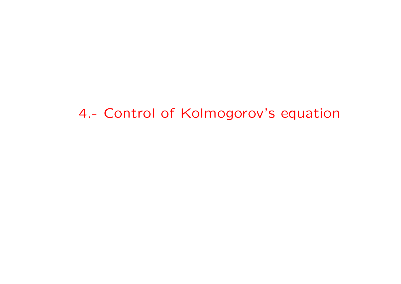4.- Control of Kolmogorov's equation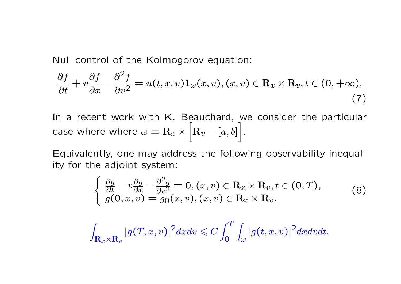Null control of the Kolmogorov equation:

$$
\frac{\partial f}{\partial t} + v \frac{\partial f}{\partial x} - \frac{\partial^2 f}{\partial v^2} = u(t, x, v) 1_\omega(x, v), (x, v) \in \mathbf{R}_x \times \mathbf{R}_v, t \in (0, +\infty).
$$
\n(7)

In a recent work with K. Beauchard, we consider the particular case where where  $\omega = \mathbf{R}_x \times \mathbf{R}_x$  $\sqrt{ }$  $\mathrm{R}_v - [a,b]$ 1 .

Equivalently, one may address the following observability inequality for the adjoint system:

$$
\begin{cases} \n\frac{\partial g}{\partial t} - v \frac{\partial g}{\partial x} - \frac{\partial^2 g}{\partial v^2} = 0, (x, v) \in \mathbf{R}_x \times \mathbf{R}_v, t \in (0, T), \\
g(0, x, v) = g_0(x, v), (x, v) \in \mathbf{R}_x \times \mathbf{R}_v.\n\end{cases} \tag{8}
$$

$$
\int_{\mathbf{R}_x\times\mathbf{R}_v}|g(T,x,v)|^2dxdv\leqslant C\int_0^T\int_{\omega}|g(t,x,v)|^2dxdvdt.
$$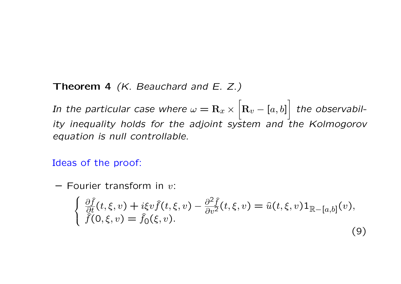**Theorem 4** (K. Beauchard and E. Z.)

In the particular case where  $\omega = \mathbf{R}_x \times$  $\sqrt{ }$  $\mathbf{R}_v - [a,b]$ 1 the observability inequality holds for the adjoint system and the Kolmogorov equation is null controllable.

Ideas of the proof:

 $-$  Fourier transform in  $v$ :

$$
\begin{cases} \frac{\partial \widehat{f}}{\partial t}(t,\xi,v) + i\xi v \widehat{f}(t,\xi,v) - \frac{\partial^2 \widehat{f}}{\partial v^2}(t,\xi,v) = \widehat{u}(t,\xi,v) \mathbf{1}_{\mathbb{R} - [a,b]}(v), \\ \widehat{f}(0,\xi,v) = \widehat{f}_0(\xi,v). \end{cases}
$$
(9)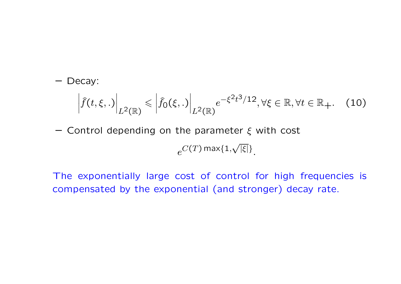- Decay:  
\n
$$
\left| \hat{f}(t,\xi,.) \right|_{L^2(\mathbb{R})} \leq \left| \hat{f}_0(\xi,.) \right|_{L^2(\mathbb{R})} e^{-\xi^2 t^3/12}, \forall \xi \in \mathbb{R}, \forall t \in \mathbb{R}_+.
$$
 (10)  
\n- Control depending on the parameter  $\xi$  with cost  
\n
$$
e^{C(T) \max\{1, \sqrt{|\xi|}\}}
$$
.

The exponentially large cost of control for high frequencies is compensated by the exponential (and stronger) decay rate.